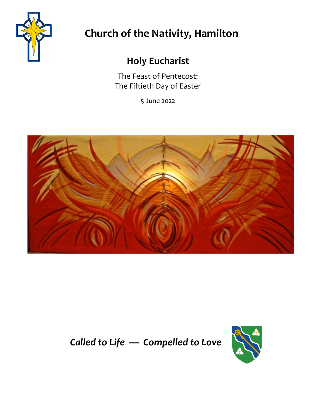

# **Church of the Nativity, Hamilton**

# **Holy Eucharist**

The Feast of Pentecost: The Fiftieth Day of Easter

5 June 2022



# *Called to Life — Compelled to Love*

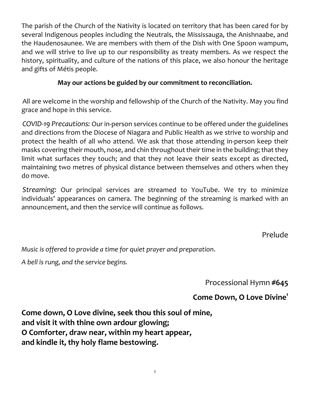The parish of the Church of the Nativity is located on territory that has been cared for by several Indigenous peoples including the Neutrals, the Mississauga, the Anishnaabe, and the Haudenosaunee. We are members with them of the Dish with One Spoon wampum, and we will strive to live up to our responsibility as treaty members. As we respect the history, spirituality, and culture of the nations of this place, we also honour the heritage and gifts of Métis people.

#### **May our actions be guided by our commitment to reconciliation.**

All are welcome in the worship and fellowship of the Church of the Nativity. May you find grace and hope in this service.

*COVID-19 Precautions:* Our in-person services continue to be offered under the guidelines and directions from the Diocese of Niagara and Public Health as we strive to worship and protect the health of all who attend. We ask that those attending in-person keep their masks covering their mouth, nose, and chin throughout their time in the building; that they limit what surfaces they touch; and that they not leave their seats except as directed, maintaining two metres of physical distance between themselves and others when they do move.

*Streaming:* Our principal services are streamed to YouTube. We try to minimize individuals' appearances on camera. The beginning of the streaming is marked with an announcement, and then the service will continue as follows.

Prelude

*Music is offered to provide a time for quiet prayer and preparation*.

*A bell is rung, and the service begins.*

Processional Hymn **#645** 

### **Come Down, O Love Divine1**

**Come down, O Love divine, seek thou this soul of mine, and visit it with thine own ardour glowing; O Comforter, draw near, within my heart appear, and kindle it, thy holy flame bestowing.**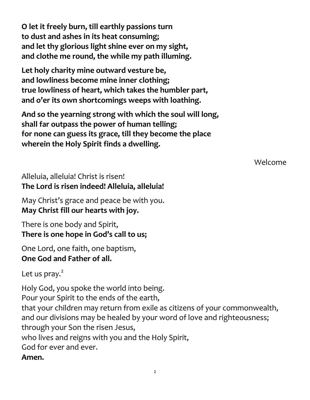**O let it freely burn, till earthly passions turn to dust and ashes in its heat consuming; and let thy glorious light shine ever on my sight, and clothe me round, the while my path illuming.**

**Let holy charity mine outward vesture be, and lowliness become mine inner clothing; true lowliness of heart, which takes the humbler part, and o'er its own shortcomings weeps with loathing.**

**And so the yearning strong with which the soul will long, shall far outpass the power of human telling; for none can guess its grace, till they become the place wherein the Holy Spirit finds a dwelling.**

Welcome

## Alleluia, alleluia! Christ is risen! **The Lord is risen indeed! Alleluia, alleluia!**

May Christ's grace and peace be with you. **May Christ fill our hearts with joy.**

There is one body and Spirit, **There is one hope in God's call to us;**

One Lord, one faith, one baptism, **One God and Father of all.**

Let us pray. $<sup>2</sup>$ </sup>

Holy God, you spoke the world into being. Pour your Spirit to the ends of the earth, that your children may return from exile as citizens of your commonwealth, and our divisions may be healed by your word of love and righteousness; through your Son the risen Jesus, who lives and reigns with you and the Holy Spirit, God for ever and ever. **Amen.**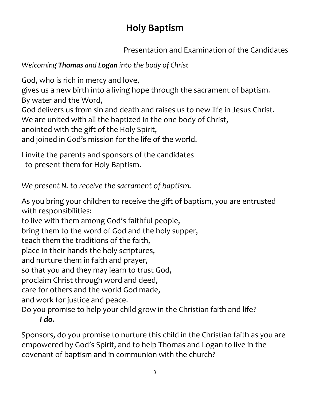# **Holy Baptism**

Presentation and Examination of the Candidates

*Welcoming Thomas and Logan into the body of Christ*

God, who is rich in mercy and love,

gives us a new birth into a living hope through the sacrament of baptism. By water and the Word,

God delivers us from sin and death and raises us to new life in Jesus Christ.

We are united with all the baptized in the one body of Christ,

anointed with the gift of the Holy Spirit,

and joined in God's mission for the life of the world.

I invite the parents and sponsors of the candidates to present them for Holy Baptism.

*We present N. to receive the sacrament of baptism.*

As you bring your children to receive the gift of baptism, you are entrusted with responsibilities:

to live with them among God's faithful people,

bring them to the word of God and the holy supper,

teach them the traditions of the faith,

place in their hands the holy scriptures,

and nurture them in faith and prayer,

so that you and they may learn to trust God,

proclaim Christ through word and deed,

care for others and the world God made,

and work for justice and peace.

Do you promise to help your child grow in the Christian faith and life? *I do.*

Sponsors, do you promise to nurture this child in the Christian faith as you are empowered by God's Spirit, and to help Thomas and Logan to live in the covenant of baptism and in communion with the church?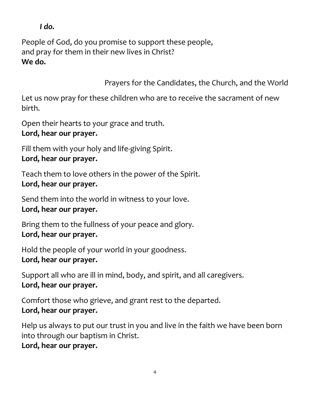*I do.*

People of God, do you promise to support these people, and pray for them in their new lives in Christ? **We do.**

Prayers for the Candidates, the Church, and the World

Let us now pray for these children who are to receive the sacrament of new birth.

Open their hearts to your grace and truth. **Lord, hear our prayer.**

Fill them with your holy and life-giving Spirit. **Lord, hear our prayer.**

Teach them to love others in the power of the Spirit. **Lord, hear our prayer.**

Send them into the world in witness to your love. **Lord, hear our prayer.**

Bring them to the fullness of your peace and glory. **Lord, hear our prayer.**

Hold the people of your world in your goodness. **Lord, hear our prayer.**

Support all who are ill in mind, body, and spirit, and all caregivers. **Lord, hear our prayer.**

Comfort those who grieve, and grant rest to the departed. **Lord, hear our prayer.**

Help us always to put our trust in you and live in the faith we have been born into through our baptism in Christ.

**Lord, hear our prayer.**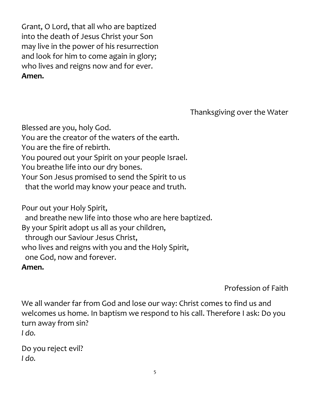Grant, O Lord, that all who are baptized into the death of Jesus Christ your Son may live in the power of his resurrection and look for him to come again in glory; who lives and reigns now and for ever. **Amen.**

Thanksgiving over the Water

Blessed are you, holy God. You are the creator of the waters of the earth. You are the fire of rebirth. You poured out your Spirit on your people Israel. You breathe life into our dry bones. Your Son Jesus promised to send the Spirit to us that the world may know your peace and truth.

Pour out your Holy Spirit, and breathe new life into those who are here baptized. By your Spirit adopt us all as your children, through our Saviour Jesus Christ, who lives and reigns with you and the Holy Spirit, one God, now and forever. **Amen.**

Profession of Faith

We all wander far from God and lose our way: Christ comes to find us and welcomes us home. In baptism we respond to his call. Therefore I ask: Do you turn away from sin? *I do.*

Do you reject evil? *I do.*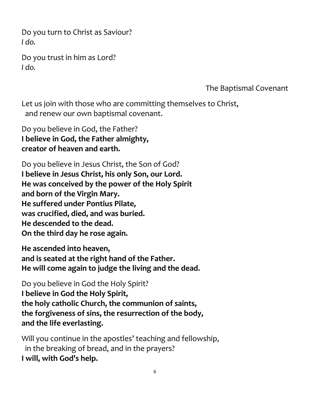Do you turn to Christ as Saviour? *I do.*

Do you trust in him as Lord? *I do.*

The Baptismal Covenant

Let us join with those who are committing themselves to Christ, and renew our own baptismal covenant.

Do you believe in God, the Father? **I believe in God, the Father almighty, creator of heaven and earth.**

Do you believe in Jesus Christ, the Son of God? **I believe in Jesus Christ, his only Son, our Lord. He was conceived by the power of the Holy Spirit and born of the Virgin Mary. He suffered under Pontius Pilate, was crucified, died, and was buried. He descended to the dead. On the third day he rose again.**

**He ascended into heaven, and is seated at the right hand of the Father. He will come again to judge the living and the dead.**

Do you believe in God the Holy Spirit? **I believe in God the Holy Spirit, the holy catholic Church, the communion of saints, the forgiveness of sins, the resurrection of the body, and the life everlasting.**

Will you continue in the apostles' teaching and fellowship, in the breaking of bread, and in the prayers? **I will, with God's help.**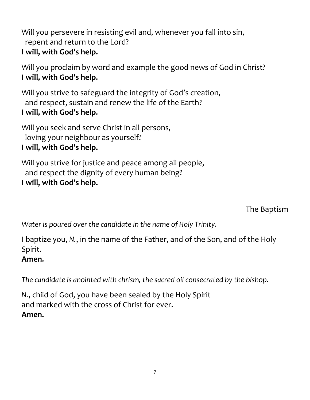Will you persevere in resisting evil and, whenever you fall into sin, repent and return to the Lord? **I will, with God's help.**

Will you proclaim by word and example the good news of God in Christ? **I will, with God's help.**

Will you strive to safeguard the integrity of God's creation, and respect, sustain and renew the life of the Earth? **I will, with God's help.**

Will you seek and serve Christ in all persons, loving your neighbour as yourself? **I will, with God's help.**

Will you strive for justice and peace among all people, and respect the dignity of every human being? **I will, with God's help.**

The Baptism

*Water is poured over the candidate in the name of Holy Trinity.*

I baptize you, *N.*, in the name of the Father, and of the Son, and of the Holy Spirit.

### **Amen.**

*The candidate is anointed with chrism, the sacred oil consecrated by the bishop.*

*N.*, child of God, you have been sealed by the Holy Spirit and marked with the cross of Christ for ever. **Amen.**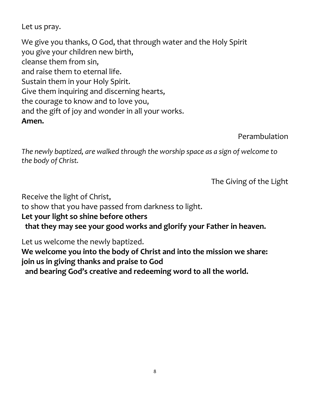Let us pray.

We give you thanks, O God, that through water and the Holy Spirit you give your children new birth, cleanse them from sin, and raise them to eternal life. Sustain them in your Holy Spirit. Give them inquiring and discerning hearts, the courage to know and to love you, and the gift of joy and wonder in all your works. **Amen.**

Perambulation

*The newly baptized, are walked through the worship space as a sign of welcome to the body of Christ.*

The Giving of the Light

Receive the light of Christ,

to show that you have passed from darkness to light.

### **Let your light so shine before others**

 **that they may see your good works and glorify your Father in heaven.**

Let us welcome the newly baptized.

**We welcome you into the body of Christ and into the mission we share: join us in giving thanks and praise to God and bearing God's creative and redeeming word to all the world.**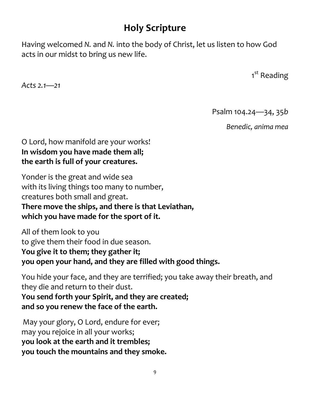# **Holy Scripture**

Having welcomed *N.* and *N.* into the body of Christ, let us listen to how God acts in our midst to bring us new life.

1<sup>st</sup> Reading

*Acts 2.1—21*

Psalm 104.24—34, 35*b*

*Benedic, anima mea*

### O Lord, how manifold are your works! **In wisdom you have made them all; the earth is full of your creatures.**

Yonder is the great and wide sea with its living things too many to number, creatures both small and great. **There move the ships, and there is that Leviathan, which you have made for the sport of it.**

All of them look to you to give them their food in due season. **You give it to them; they gather it; you open your hand, and they are filled with good things.**

You hide your face, and they are terrified; you take away their breath, and they die and return to their dust. **You send forth your Spirit, and they are created; and so you renew the face of the earth.**

May your glory, O Lord, endure for ever; may you rejoice in all your works; **you look at the earth and it trembles; you touch the mountains and they smoke.**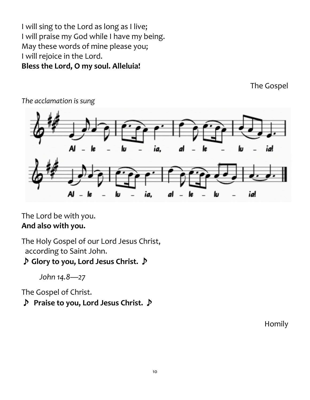I will sing to the Lord as long as I live; I will praise my God while I have my being. May these words of mine please you; I will rejoice in the Lord. **Bless the Lord, O my soul. Alleluia!**

The Gospel



*The acclamation is sung*

The Lord be with you. **And also with you.**

The Holy Gospel of our Lord Jesus Christ, according to Saint John.

♪ **Glory to you, Lord Jesus Christ.** ♪

*John 14.8—27*

The Gospel of Christ.

♪ **Praise to you, Lord Jesus Christ.** ♪

Homily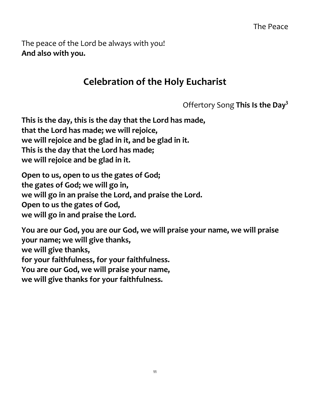The peace of the Lord be always with you! **And also with you.**

# **Celebration of the Holy Eucharist**

Offertory Song **This Is the Day3**

**This is the day, this is the day that the Lord has made, that the Lord has made; we will rejoice, we will rejoice and be glad in it, and be glad in it. This is the day that the Lord has made; we will rejoice and be glad in it.**

**Open to us, open to us the gates of God; the gates of God; we will go in, we will go in an praise the Lord, and praise the Lord. Open to us the gates of God, we will go in and praise the Lord.**

**You are our God, you are our God, we will praise your name, we will praise your name; we will give thanks, we will give thanks, for your faithfulness, for your faithfulness. You are our God, we will praise your name, we will give thanks for your faithfulness.**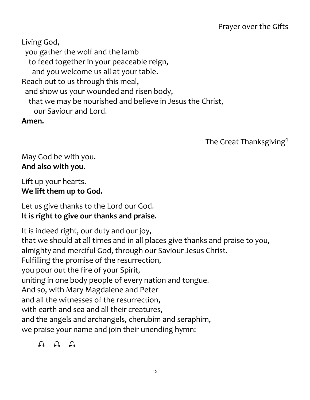Living God, you gather the wolf and the lamb to feed together in your peaceable reign, and you welcome us all at your table. Reach out to us through this meal, and show us your wounded and risen body, that we may be nourished and believe in Jesus the Christ, our Saviour and Lord. **Amen.**

The Great Thanksgiving<sup>4</sup>

## May God be with you. **And also with you.**

Lift up your hearts. **We lift them up to God.**

## Let us give thanks to the Lord our God. **It is right to give our thanks and praise.**

It is indeed right, our duty and our joy, that we should at all times and in all places give thanks and praise to you, almighty and merciful God, through our Saviour Jesus Christ. Fulfilling the promise of the resurrection, you pour out the fire of your Spirit, uniting in one body people of every nation and tongue. And so, with Mary Magdalene and Peter and all the witnesses of the resurrection, with earth and sea and all their creatures, and the angels and archangels, cherubim and seraphim, we praise your name and join their unending hymn:

 $\begin{matrix} \bigoplus & \bigoplus & \bigoplus & \bigoplus \end{matrix}$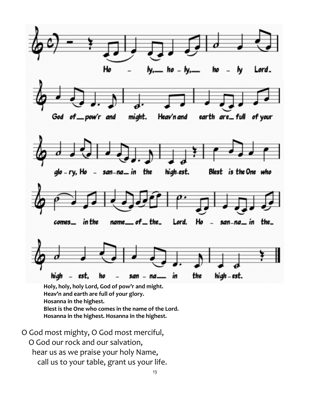

**Hosanna in the highest. Hosanna in the highest.**

O God most mighty, O God most merciful, O God our rock and our salvation, hear us as we praise your holy Name, call us to your table, grant us your life.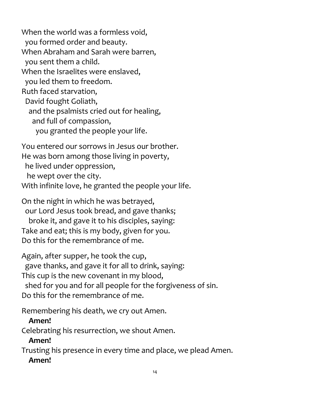When the world was a formless void, you formed order and beauty. When Abraham and Sarah were barren, you sent them a child. When the Israelites were enslaved, you led them to freedom. Ruth faced starvation, David fought Goliath, and the psalmists cried out for healing, and full of compassion, you granted the people your life.

You entered our sorrows in Jesus our brother. He was born among those living in poverty, he lived under oppression, he wept over the city. With infinite love, he granted the people your life.

On the night in which he was betrayed, our Lord Jesus took bread, and gave thanks; broke it, and gave it to his disciples, saying: Take and eat; this is my body, given for you. Do this for the remembrance of me.

Again, after supper, he took the cup, gave thanks, and gave it for all to drink, saying: This cup is the new covenant in my blood, shed for you and for all people for the forgiveness of sin. Do this for the remembrance of me.

Remembering his death, we cry out Amen.

## **Amen!**

Celebrating his resurrection, we shout Amen.

# **Amen!**

Trusting his presence in every time and place, we plead Amen.

# **Amen!**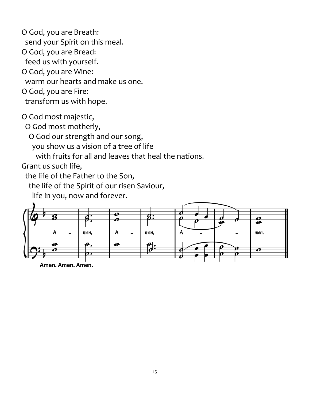O God, you are Breath: send your Spirit on this meal. O God, you are Bread: feed us with yourself. O God, you are Wine: warm our hearts and make us one. O God, you are Fire: transform us with hope.

O God most majestic,

O God most motherly,

O God our strength and our song,

you show us a vision of a tree of life

with fruits for all and leaves that heal the nations.

Grant us such life,

the life of the Father to the Son,

the life of the Spirit of our risen Saviour,

life in you, now and forever.



**Amen. Amen. Amen.**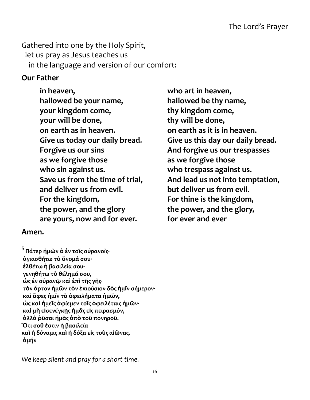Gathered into one by the Holy Spirit, let us pray as Jesus teaches us in the language and version of our comfort:

#### **Our Father**

**in heaven, who art in heaven, hallowed be your name, hallowed be thy name, your kingdom come, thy kingdom come, your will be done, thy will be done, on earth as in heaven. on earth as it is in heaven. Forgive us our sins And forgive us our trespasses as we forgive those as we forgive those who sin against us. who trespass against us. and deliver us from evil. but deliver us from evil. For the kingdom, For thine is the kingdom, the power, and the glory the power, and the glory, are yours, now and for ever. for ever and ever**

#### **Amen.**

**<sup>5</sup> Πάτερ ἡμῶν <sup>ὁ</sup> <sup>ἐ</sup>ν τοῖς οὐρανοῖς· ἁγιασθήτω τὸ ὄνομά σου· ἐλθέτω ἡ βασιλεία σου· γενηθήτω τὸ θέλημά σου, ὡς ἐν οὐρανῷ καὶ ἐπὶ τῆς γῆς· τὸν ἄρτον ἡμῶν τὸν ἐπιούσιον δὸς ἡμῖν σήμερον· καὶ ἄφες ἡμῖν τὰ ὀφειλήματα ἡμῶν, ὡς καὶ ἡμεῖς ἀφίεμεν τοῖς ὀφειλέταις ἡμῶν· καὶ μὴ εἰσενέγκῃς ἡμᾶς εἰς πειρασμόν, ἀλλὰ ῥῦσαι ἡμᾶς ἀπὸ τοῦ πονηροῦ. Ὅτι σοῦ ἐστιν ἡ βασιλεία καὶ ἡ δύναμις καὶ ἡ δόξα εἰς τοὺς αἰῶνας. ἀμήν**

*We keep silent and pray for a short time.*

**Give us today our daily bread. Give us this day our daily bread. Save us from the time of trial, And lead us not into temptation,**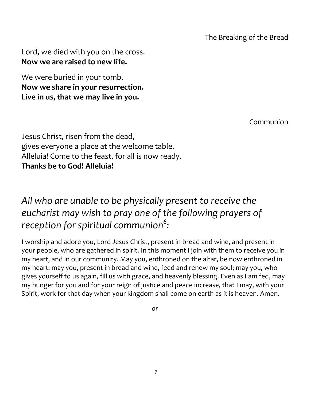Lord, we died with you on the cross. **Now we are raised to new life.**

We were buried in your tomb. **Now we share in your resurrection. Live in us, that we may live in you.**

Communion

Jesus Christ, risen from the dead, gives everyone a place at the welcome table. Alleluia! Come to the feast, for all is now ready. **Thanks be to God! Alleluia!**

# *All who are unable to be physically present to receive the eucharist may wish to pray one of the following prayers of reception for spiritual communion<sup>6</sup> :*

I worship and adore you, Lord Jesus Christ, present in bread and wine, and present in your people, who are gathered in spirit. In this moment I join with them to receive you in my heart, and in our community. May you, enthroned on the altar, be now enthroned in my heart; may you, present in bread and wine, feed and renew my soul; may you, who gives yourself to us again, fill us with grace, and heavenly blessing. Even as I am fed, may my hunger for you and for your reign of justice and peace increase, that I may, with your Spirit, work for that day when your kingdom shall come on earth as it is heaven. Amen.

*or*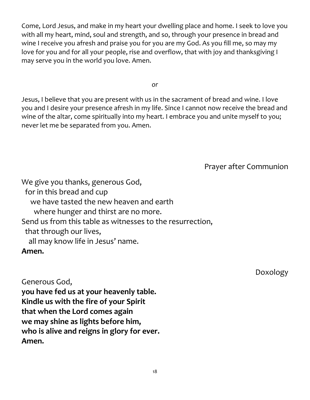Come, Lord Jesus, and make in my heart your dwelling place and home. I seek to love you with all my heart, mind, soul and strength, and so, through your presence in bread and wine I receive you afresh and praise you for you are my God. As you fill me, so may my love for you and for all your people, rise and overflow, that with joy and thanksgiving I may serve you in the world you love. Amen.

*or*

Jesus, I believe that you are present with us in the sacrament of bread and wine. I love you and I desire your presence afresh in my life. Since I cannot now receive the bread and wine of the altar, come spiritually into my heart. I embrace you and unite myself to you; never let me be separated from you. Amen.

Prayer after Communion

We give you thanks, generous God, for in this bread and cup we have tasted the new heaven and earth where hunger and thirst are no more. Send us from this table as witnesses to the resurrection, that through our lives, all may know life in Jesus' name. **Amen.**

Generous God, **you have fed us at your heavenly table. Kindle us with the fire of your Spirit that when the Lord comes again we may shine as lights before him, who is alive and reigns in glory for ever. Amen.**

Doxology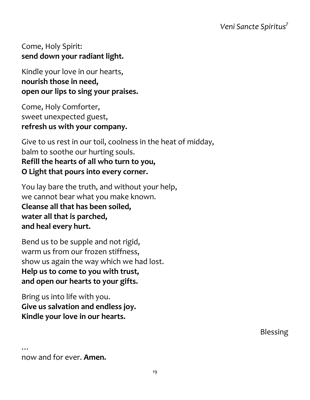### Come, Holy Spirit: **send down your radiant light.**

Kindle your love in our hearts, **nourish those in need, open our lips to sing your praises.**

Come, Holy Comforter, sweet unexpected guest, **refresh us with your company.**

Give to us rest in our toil, coolness in the heat of midday, balm to soothe our hurting souls. **Refill the hearts of all who turn to you, O Light that pours into every corner.**

You lay bare the truth, and without your help, we cannot bear what you make known. **Cleanse all that has been soiled, water all that is parched, and heal every hurt.**

Bend us to be supple and not rigid, warm us from our frozen stiffness, show us again the way which we had lost. **Help us to come to you with trust, and open our hearts to your gifts.**

Bring us into life with you. **Give us salvation and endless joy. Kindle your love in our hearts.**

Blessing

now and for ever. **Amen.**

…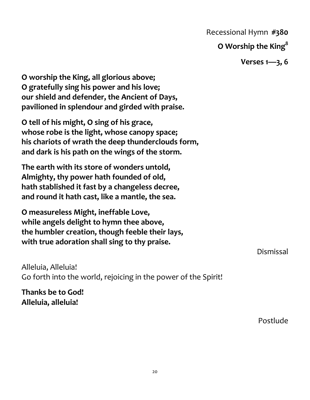Recessional Hymn **#380**

### **O Worship the King8**

**Verses 1—3, 6**

**O worship the King, all glorious above; O gratefully sing his power and his love; our shield and defender, the Ancient of Days, pavilioned in splendour and girded with praise.**

**O tell of his might, O sing of his grace, whose robe is the light, whose canopy space; his chariots of wrath the deep thunderclouds form, and dark is his path on the wings of the storm.**

**The earth with its store of wonders untold, Almighty, thy power hath founded of old, hath stablished it fast by a changeless decree, and round it hath cast, like a mantle, the sea.**

**O measureless Might, ineffable Love, while angels delight to hymn thee above, the humbler creation, though feeble their lays, with true adoration shall sing to thy praise.**

Alleluia, Alleluia! Go forth into the world, rejoicing in the power of the Spirit!

**Thanks be to God! Alleluia, alleluia!**

Postlude

Dismissal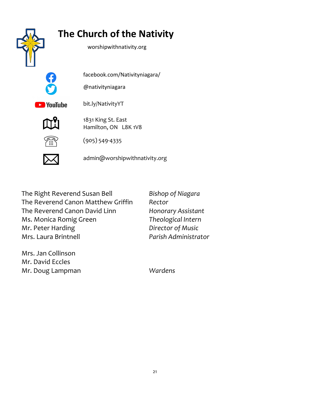

The Right Reverend Susan Bell *Bishop of Niagara* The Reverend Canon Matthew Griffin *Rector* The Reverend Canon David Linn *Honorary Assistant* Ms. Monica Romig Green *Theological Intern* Mr. Peter Harding *Director of Music* Mrs. Laura Brintnell *Parish Administrator*

Mrs. Jan Collinson Mr. David Eccles Mr. Doug Lampman *Wardens*